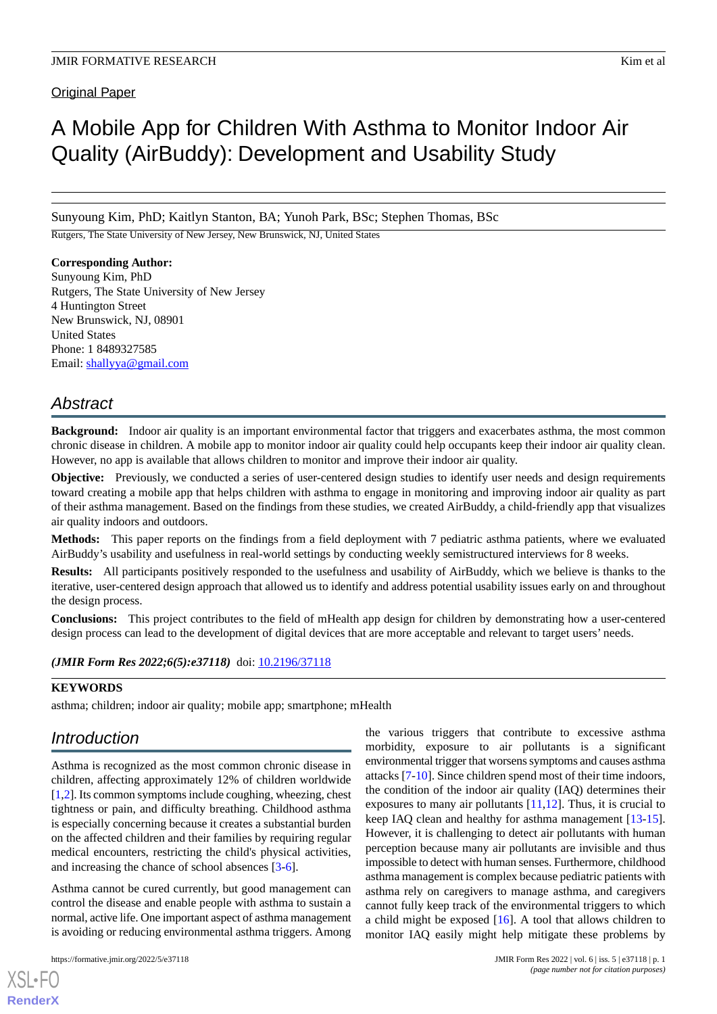# A Mobile App for Children With Asthma to Monitor Indoor Air Quality (AirBuddy): Development and Usability Study

Sunyoung Kim, PhD; Kaitlyn Stanton, BA; Yunoh Park, BSc; Stephen Thomas, BSc

Rutgers, The State University of New Jersey, New Brunswick, NJ, United States

# **Corresponding Author:**

Sunyoung Kim, PhD Rutgers, The State University of New Jersey 4 Huntington Street New Brunswick, NJ, 08901 United States Phone: 1 8489327585 Email: [shallyya@gmail.com](mailto:shallyya@gmail.com)

# *Abstract*

**Background:** Indoor air quality is an important environmental factor that triggers and exacerbates asthma, the most common chronic disease in children. A mobile app to monitor indoor air quality could help occupants keep their indoor air quality clean. However, no app is available that allows children to monitor and improve their indoor air quality.

**Objective:** Previously, we conducted a series of user-centered design studies to identify user needs and design requirements toward creating a mobile app that helps children with asthma to engage in monitoring and improving indoor air quality as part of their asthma management. Based on the findings from these studies, we created AirBuddy, a child-friendly app that visualizes air quality indoors and outdoors.

**Methods:** This paper reports on the findings from a field deployment with 7 pediatric asthma patients, where we evaluated AirBuddy's usability and usefulness in real-world settings by conducting weekly semistructured interviews for 8 weeks.

**Results:** All participants positively responded to the usefulness and usability of AirBuddy, which we believe is thanks to the iterative, user-centered design approach that allowed us to identify and address potential usability issues early on and throughout the design process.

**Conclusions:** This project contributes to the field of mHealth app design for children by demonstrating how a user-centered design process can lead to the development of digital devices that are more acceptable and relevant to target users' needs.

*(JMIR Form Res 2022;6(5):e37118)* doi:  $10.2196/37118$ 

# **KEYWORDS**

asthma; children; indoor air quality; mobile app; smartphone; mHealth

# *Introduction*

Asthma is recognized as the most common chronic disease in children, affecting approximately 12% of children worldwide [[1,](#page-6-0)[2](#page-6-1)]. Its common symptoms include coughing, wheezing, chest tightness or pain, and difficulty breathing. Childhood asthma is especially concerning because it creates a substantial burden on the affected children and their families by requiring regular medical encounters, restricting the child's physical activities, and increasing the chance of school absences [[3](#page-6-2)[-6](#page-7-0)].

Asthma cannot be cured currently, but good management can control the disease and enable people with asthma to sustain a normal, active life. One important aspect of asthma management is avoiding or reducing environmental asthma triggers. Among

[XSL](http://www.w3.org/Style/XSL)•FO **[RenderX](http://www.renderx.com/)**

the various triggers that contribute to excessive asthma morbidity, exposure to air pollutants is a significant environmental trigger that worsens symptoms and causes asthma attacks [[7](#page-7-1)[-10](#page-7-2)]. Since children spend most of their time indoors, the condition of the indoor air quality (IAQ) determines their exposures to many air pollutants  $[11,12]$  $[11,12]$  $[11,12]$  $[11,12]$ . Thus, it is crucial to keep IAQ clean and healthy for asthma management [[13-](#page-7-5)[15\]](#page-7-6). However, it is challenging to detect air pollutants with human perception because many air pollutants are invisible and thus impossible to detect with human senses. Furthermore, childhood asthma management is complex because pediatric patients with asthma rely on caregivers to manage asthma, and caregivers cannot fully keep track of the environmental triggers to which a child might be exposed [\[16](#page-7-7)]. A tool that allows children to monitor IAQ easily might help mitigate these problems by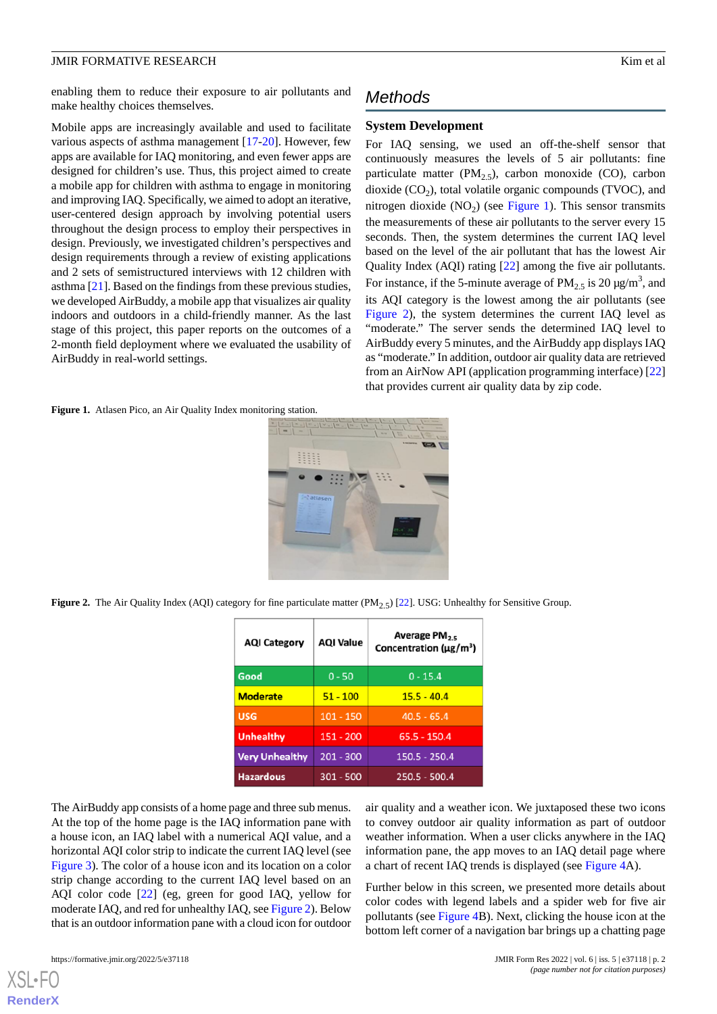enabling them to reduce their exposure to air pollutants and make healthy choices themselves.

Mobile apps are increasingly available and used to facilitate various aspects of asthma management [\[17](#page-7-8)-[20\]](#page-7-9). However, few apps are available for IAQ monitoring, and even fewer apps are designed for children's use. Thus, this project aimed to create a mobile app for children with asthma to engage in monitoring and improving IAQ. Specifically, we aimed to adopt an iterative, user-centered design approach by involving potential users throughout the design process to employ their perspectives in design. Previously, we investigated children's perspectives and design requirements through a review of existing applications and 2 sets of semistructured interviews with 12 children with asthma [\[21](#page-7-10)]. Based on the findings from these previous studies, we developed AirBuddy, a mobile app that visualizes air quality indoors and outdoors in a child-friendly manner. As the last stage of this project, this paper reports on the outcomes of a 2-month field deployment where we evaluated the usability of AirBuddy in real-world settings.

# *Methods*

#### **System Development**

For IAQ sensing, we used an off-the-shelf sensor that continuously measures the levels of 5 air pollutants: fine particulate matter ( $PM<sub>2.5</sub>$ ), carbon monoxide (CO), carbon dioxide  $(CO_2)$ , total volatile organic compounds (TVOC), and nitrogen dioxide  $(NO<sub>2</sub>)$  (see [Figure 1](#page-1-0)). This sensor transmits the measurements of these air pollutants to the server every 15 seconds. Then, the system determines the current IAQ level based on the level of the air pollutant that has the lowest Air Quality Index (AQI) rating [\[22](#page-7-11)] among the five air pollutants. For instance, if the 5-minute average of  $PM_{2.5}$  is 20  $\mu$ g/m<sup>3</sup>, and its AQI category is the lowest among the air pollutants (see [Figure 2\)](#page-1-1), the system determines the current IAQ level as "moderate." The server sends the determined IAQ level to AirBuddy every 5 minutes, and the AirBuddy app displays IAQ as "moderate." In addition, outdoor air quality data are retrieved from an AirNow API (application programming interface) [\[22](#page-7-11)] that provides current air quality data by zip code.

<span id="page-1-0"></span>Figure 1. Atlasen Pico, an Air Quality Index monitoring station.



<span id="page-1-1"></span>**Figure 2.** The Air Quality Index (AQI) category for fine particulate matter (PM<sub>2.5</sub>) [\[22\]](#page-7-11). USG: Unhealthy for Sensitive Group.

| <b>AQI Category</b>   | <b>AQI Value</b> | Average PM <sub>2.5</sub><br>Concentration ( $\mu$ g/m <sup>3</sup> ) |  |
|-----------------------|------------------|-----------------------------------------------------------------------|--|
| Good                  | $0 - 50$         | $0 - 15.4$                                                            |  |
| <b>Moderate</b>       | $51 - 100$       | $15.5 - 40.4$                                                         |  |
| <b>USG</b>            | $101 - 150$      | $40.5 - 65.4$                                                         |  |
| <b>Unhealthy</b>      | $151 - 200$      | $65.5 - 150.4$                                                        |  |
| <b>Very Unhealthy</b> | $201 - 300$      | 150.5 - 250.4                                                         |  |
| <b>Hazardous</b>      | 301 - 500        | $250.5 - 500.4$                                                       |  |

The AirBuddy app consists of a home page and three sub menus. At the top of the home page is the IAQ information pane with a house icon, an IAQ label with a numerical AQI value, and a horizontal AQI color strip to indicate the current IAQ level (see [Figure 3](#page-2-0)). The color of a house icon and its location on a color strip change according to the current IAQ level based on an AQI color code [\[22](#page-7-11)] (eg, green for good IAQ, yellow for moderate IAQ, and red for unhealthy IAQ, see [Figure 2](#page-1-1)). Below that is an outdoor information pane with a cloud icon for outdoor

air quality and a weather icon. We juxtaposed these two icons to convey outdoor air quality information as part of outdoor weather information. When a user clicks anywhere in the IAQ information pane, the app moves to an IAQ detail page where a chart of recent IAQ trends is displayed (see [Figure 4A](#page-2-1)).

Further below in this screen, we presented more details about color codes with legend labels and a spider web for five air pollutants (see [Figure 4](#page-2-1)B). Next, clicking the house icon at the bottom left corner of a navigation bar brings up a chatting page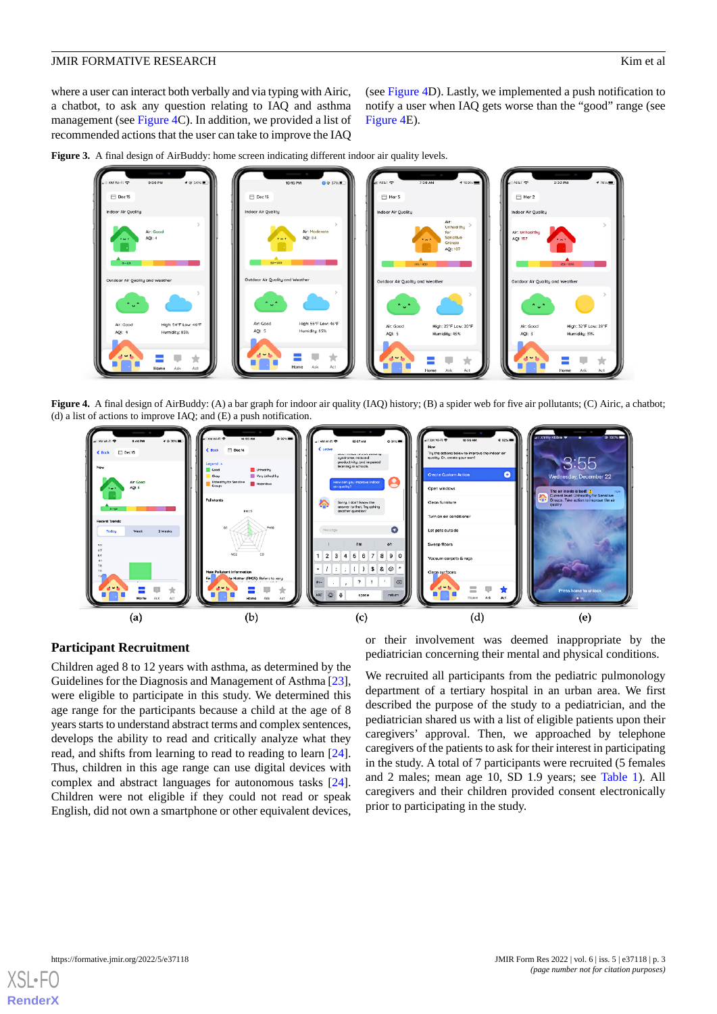where a user can interact both verbally and via typing with Airic, a chatbot, to ask any question relating to IAQ and asthma management (see [Figure 4C](#page-2-1)). In addition, we provided a list of recommended actions that the user can take to improve the IAQ

(see [Figure 4D](#page-2-1)). Lastly, we implemented a push notification to notify a user when IAQ gets worse than the "good" range (see [Figure 4](#page-2-1)E).

<span id="page-2-0"></span>



<span id="page-2-1"></span>**Figure 4.** A final design of AirBuddy: (A) a bar graph for indoor air quality (IAQ) history; (B) a spider web for five air pollutants; (C) Airic, a chatbot; (d) a list of actions to improve IAQ; and (E) a push notification.



#### **Participant Recruitment**

Children aged 8 to 12 years with asthma, as determined by the Guidelines for the Diagnosis and Management of Asthma [[23\]](#page-7-12), were eligible to participate in this study. We determined this age range for the participants because a child at the age of 8 years starts to understand abstract terms and complex sentences, develops the ability to read and critically analyze what they read, and shifts from learning to read to reading to learn [[24\]](#page-7-13). Thus, children in this age range can use digital devices with complex and abstract languages for autonomous tasks [[24\]](#page-7-13). Children were not eligible if they could not read or speak English, did not own a smartphone or other equivalent devices,

or their involvement was deemed inappropriate by the pediatrician concerning their mental and physical conditions.

We recruited all participants from the pediatric pulmonology department of a tertiary hospital in an urban area. We first described the purpose of the study to a pediatrician, and the pediatrician shared us with a list of eligible patients upon their caregivers' approval. Then, we approached by telephone caregivers of the patients to ask for their interest in participating in the study. A total of 7 participants were recruited (5 females and 2 males; mean age 10, SD 1.9 years; see [Table 1](#page-3-0)). All caregivers and their children provided consent electronically prior to participating in the study.

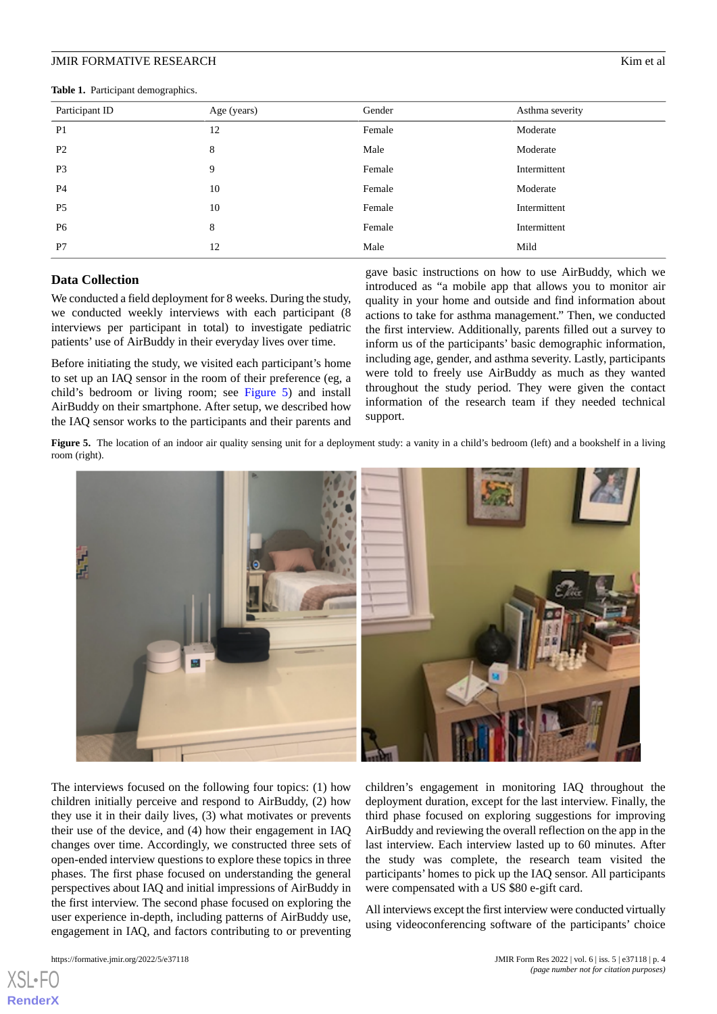<span id="page-3-0"></span>**Table 1.** Participant demographics.

| Participant ID | Age (years) | Gender | Asthma severity |
|----------------|-------------|--------|-----------------|
| P <sub>1</sub> | 12          | Female | Moderate        |
| P <sub>2</sub> | 8           | Male   | Moderate        |
| P <sub>3</sub> | 9           | Female | Intermittent    |
| <b>P4</b>      | 10          | Female | Moderate        |
| P <sub>5</sub> | 10          | Female | Intermittent    |
| P <sub>6</sub> | 8           | Female | Intermittent    |
| P7             | 12          | Male   | Mild            |

#### **Data Collection**

We conducted a field deployment for 8 weeks. During the study, we conducted weekly interviews with each participant (8 interviews per participant in total) to investigate pediatric patients' use of AirBuddy in their everyday lives over time.

<span id="page-3-1"></span>Before initiating the study, we visited each participant's home to set up an IAQ sensor in the room of their preference (eg, a child's bedroom or living room; see [Figure 5](#page-3-1)) and install AirBuddy on their smartphone. After setup, we described how the IAQ sensor works to the participants and their parents and

gave basic instructions on how to use AirBuddy, which we introduced as "a mobile app that allows you to monitor air quality in your home and outside and find information about actions to take for asthma management." Then, we conducted the first interview. Additionally, parents filled out a survey to inform us of the participants' basic demographic information, including age, gender, and asthma severity. Lastly, participants were told to freely use AirBuddy as much as they wanted throughout the study period. They were given the contact information of the research team if they needed technical support.

Figure 5. The location of an indoor air quality sensing unit for a deployment study: a vanity in a child's bedroom (left) and a bookshelf in a living room (right).



The interviews focused on the following four topics: (1) how children initially perceive and respond to AirBuddy, (2) how they use it in their daily lives, (3) what motivates or prevents their use of the device, and (4) how their engagement in IAQ changes over time. Accordingly, we constructed three sets of open-ended interview questions to explore these topics in three phases. The first phase focused on understanding the general perspectives about IAQ and initial impressions of AirBuddy in the first interview. The second phase focused on exploring the user experience in-depth, including patterns of AirBuddy use, engagement in IAQ, and factors contributing to or preventing

children's engagement in monitoring IAQ throughout the deployment duration, except for the last interview. Finally, the third phase focused on exploring suggestions for improving AirBuddy and reviewing the overall reflection on the app in the last interview. Each interview lasted up to 60 minutes. After the study was complete, the research team visited the participants' homes to pick up the IAQ sensor. All participants were compensated with a US \$80 e-gift card.

All interviews except the first interview were conducted virtually using videoconferencing software of the participants' choice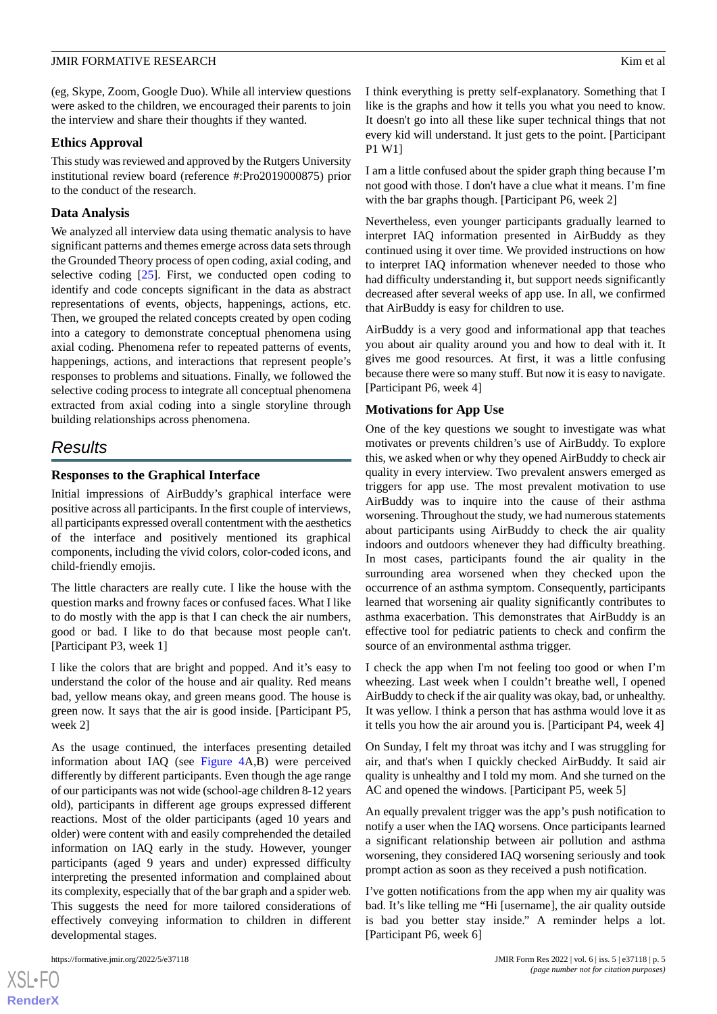(eg, Skype, Zoom, Google Duo). While all interview questions were asked to the children, we encouraged their parents to join the interview and share their thoughts if they wanted.

### **Ethics Approval**

This study was reviewed and approved by the Rutgers University institutional review board (reference #:Pro2019000875) prior to the conduct of the research.

# **Data Analysis**

We analyzed all interview data using thematic analysis to have significant patterns and themes emerge across data sets through the Grounded Theory process of open coding, axial coding, and selective coding [[25\]](#page-7-14). First, we conducted open coding to identify and code concepts significant in the data as abstract representations of events, objects, happenings, actions, etc. Then, we grouped the related concepts created by open coding into a category to demonstrate conceptual phenomena using axial coding. Phenomena refer to repeated patterns of events, happenings, actions, and interactions that represent people's responses to problems and situations. Finally, we followed the selective coding process to integrate all conceptual phenomena extracted from axial coding into a single storyline through building relationships across phenomena.

# *Results*

# **Responses to the Graphical Interface**

Initial impressions of AirBuddy's graphical interface were positive across all participants. In the first couple of interviews, all participants expressed overall contentment with the aesthetics of the interface and positively mentioned its graphical components, including the vivid colors, color-coded icons, and child-friendly emojis.

The little characters are really cute. I like the house with the question marks and frowny faces or confused faces. What I like to do mostly with the app is that I can check the air numbers, good or bad. I like to do that because most people can't. [Participant P3, week 1]

I like the colors that are bright and popped. And it's easy to understand the color of the house and air quality. Red means bad, yellow means okay, and green means good. The house is green now. It says that the air is good inside. [Participant P5, week 2]

As the usage continued, the interfaces presenting detailed information about IAQ (see [Figure 4](#page-2-1)A,B) were perceived differently by different participants. Even though the age range of our participants was not wide (school-age children 8-12 years old), participants in different age groups expressed different reactions. Most of the older participants (aged 10 years and older) were content with and easily comprehended the detailed information on IAQ early in the study. However, younger participants (aged 9 years and under) expressed difficulty interpreting the presented information and complained about its complexity, especially that of the bar graph and a spider web. This suggests the need for more tailored considerations of effectively conveying information to children in different developmental stages.

[XSL](http://www.w3.org/Style/XSL)•FO **[RenderX](http://www.renderx.com/)** I think everything is pretty self-explanatory. Something that I like is the graphs and how it tells you what you need to know. It doesn't go into all these like super technical things that not every kid will understand. It just gets to the point. [Participant P1 W1]

I am a little confused about the spider graph thing because I'm not good with those. I don't have a clue what it means. I'm fine with the bar graphs though. [Participant P6, week 2]

Nevertheless, even younger participants gradually learned to interpret IAQ information presented in AirBuddy as they continued using it over time. We provided instructions on how to interpret IAQ information whenever needed to those who had difficulty understanding it, but support needs significantly decreased after several weeks of app use. In all, we confirmed that AirBuddy is easy for children to use.

AirBuddy is a very good and informational app that teaches you about air quality around you and how to deal with it. It gives me good resources. At first, it was a little confusing because there were so many stuff. But now it is easy to navigate. [Participant P6, week 4]

# **Motivations for App Use**

One of the key questions we sought to investigate was what motivates or prevents children's use of AirBuddy. To explore this, we asked when or why they opened AirBuddy to check air quality in every interview. Two prevalent answers emerged as triggers for app use. The most prevalent motivation to use AirBuddy was to inquire into the cause of their asthma worsening. Throughout the study, we had numerous statements about participants using AirBuddy to check the air quality indoors and outdoors whenever they had difficulty breathing. In most cases, participants found the air quality in the surrounding area worsened when they checked upon the occurrence of an asthma symptom. Consequently, participants learned that worsening air quality significantly contributes to asthma exacerbation. This demonstrates that AirBuddy is an effective tool for pediatric patients to check and confirm the source of an environmental asthma trigger.

I check the app when I'm not feeling too good or when I'm wheezing. Last week when I couldn't breathe well, I opened AirBuddy to check if the air quality was okay, bad, or unhealthy. It was yellow. I think a person that has asthma would love it as it tells you how the air around you is. [Participant P4, week 4]

On Sunday, I felt my throat was itchy and I was struggling for air, and that's when I quickly checked AirBuddy. It said air quality is unhealthy and I told my mom. And she turned on the AC and opened the windows. [Participant P5, week 5]

An equally prevalent trigger was the app's push notification to notify a user when the IAQ worsens. Once participants learned a significant relationship between air pollution and asthma worsening, they considered IAQ worsening seriously and took prompt action as soon as they received a push notification.

I've gotten notifications from the app when my air quality was bad. It's like telling me "Hi [username], the air quality outside is bad you better stay inside." A reminder helps a lot. [Participant P6, week 6]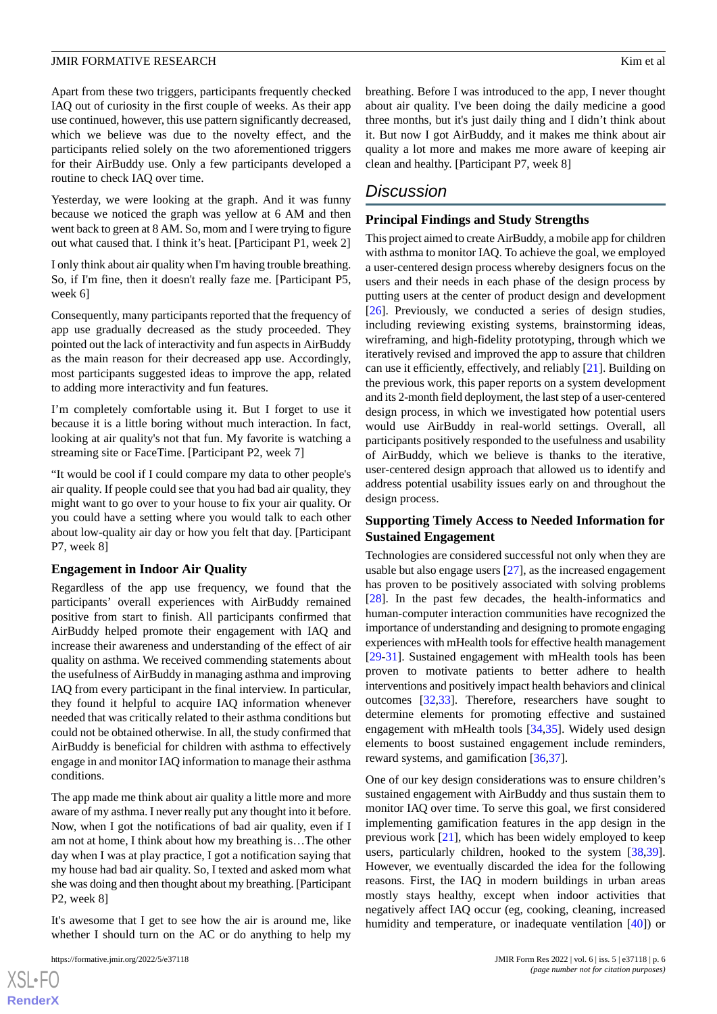Apart from these two triggers, participants frequently checked IAQ out of curiosity in the first couple of weeks. As their app use continued, however, this use pattern significantly decreased, which we believe was due to the novelty effect, and the participants relied solely on the two aforementioned triggers for their AirBuddy use. Only a few participants developed a routine to check IAQ over time.

Yesterday, we were looking at the graph. And it was funny because we noticed the graph was yellow at 6 AM and then went back to green at 8 AM. So, mom and I were trying to figure out what caused that. I think it's heat. [Participant P1, week 2]

I only think about air quality when I'm having trouble breathing. So, if I'm fine, then it doesn't really faze me. [Participant P5, week 6]

Consequently, many participants reported that the frequency of app use gradually decreased as the study proceeded. They pointed out the lack of interactivity and fun aspects in AirBuddy as the main reason for their decreased app use. Accordingly, most participants suggested ideas to improve the app, related to adding more interactivity and fun features.

I'm completely comfortable using it. But I forget to use it because it is a little boring without much interaction. In fact, looking at air quality's not that fun. My favorite is watching a streaming site or FaceTime. [Participant P2, week 7]

"It would be cool if I could compare my data to other people's air quality. If people could see that you had bad air quality, they might want to go over to your house to fix your air quality. Or you could have a setting where you would talk to each other about low-quality air day or how you felt that day. [Participant P7, week 8]

#### **Engagement in Indoor Air Quality**

Regardless of the app use frequency, we found that the participants' overall experiences with AirBuddy remained positive from start to finish. All participants confirmed that AirBuddy helped promote their engagement with IAQ and increase their awareness and understanding of the effect of air quality on asthma. We received commending statements about the usefulness of AirBuddy in managing asthma and improving IAQ from every participant in the final interview. In particular, they found it helpful to acquire IAQ information whenever needed that was critically related to their asthma conditions but could not be obtained otherwise. In all, the study confirmed that AirBuddy is beneficial for children with asthma to effectively engage in and monitor IAQ information to manage their asthma conditions.

The app made me think about air quality a little more and more aware of my asthma. I never really put any thought into it before. Now, when I got the notifications of bad air quality, even if I am not at home, I think about how my breathing is…The other day when I was at play practice, I got a notification saying that my house had bad air quality. So, I texted and asked mom what she was doing and then thought about my breathing. [Participant P2, week 8]

It's awesome that I get to see how the air is around me, like whether I should turn on the AC or do anything to help my

breathing. Before I was introduced to the app, I never thought about air quality. I've been doing the daily medicine a good three months, but it's just daily thing and I didn't think about it. But now I got AirBuddy, and it makes me think about air quality a lot more and makes me more aware of keeping air clean and healthy. [Participant P7, week 8]

# *Discussion*

#### **Principal Findings and Study Strengths**

This project aimed to create AirBuddy, a mobile app for children with asthma to monitor IAQ. To achieve the goal, we employed a user-centered design process whereby designers focus on the users and their needs in each phase of the design process by putting users at the center of product design and development [[26\]](#page-7-15). Previously, we conducted a series of design studies, including reviewing existing systems, brainstorming ideas, wireframing, and high-fidelity prototyping, through which we iteratively revised and improved the app to assure that children can use it efficiently, effectively, and reliably [\[21](#page-7-10)]. Building on the previous work, this paper reports on a system development and its 2-month field deployment, the last step of a user-centered design process, in which we investigated how potential users would use AirBuddy in real-world settings. Overall, all participants positively responded to the usefulness and usability of AirBuddy, which we believe is thanks to the iterative, user-centered design approach that allowed us to identify and address potential usability issues early on and throughout the design process.

### **Supporting Timely Access to Needed Information for Sustained Engagement**

Technologies are considered successful not only when they are usable but also engage users [\[27](#page-7-16)], as the increased engagement has proven to be positively associated with solving problems [[28\]](#page-7-17). In the past few decades, the health-informatics and human-computer interaction communities have recognized the importance of understanding and designing to promote engaging experiences with mHealth tools for effective health management [[29](#page-8-0)[-31](#page-8-1)]. Sustained engagement with mHealth tools has been proven to motivate patients to better adhere to health interventions and positively impact health behaviors and clinical outcomes [[32](#page-8-2)[,33](#page-8-3)]. Therefore, researchers have sought to determine elements for promoting effective and sustained engagement with mHealth tools [[34,](#page-8-4)[35](#page-8-5)]. Widely used design elements to boost sustained engagement include reminders, reward systems, and gamification [\[36](#page-8-6),[37\]](#page-8-7).

One of our key design considerations was to ensure children's sustained engagement with AirBuddy and thus sustain them to monitor IAQ over time. To serve this goal, we first considered implementing gamification features in the app design in the previous work [\[21](#page-7-10)], which has been widely employed to keep users, particularly children, hooked to the system [\[38](#page-8-8),[39\]](#page-8-9). However, we eventually discarded the idea for the following reasons. First, the IAQ in modern buildings in urban areas mostly stays healthy, except when indoor activities that negatively affect IAQ occur (eg, cooking, cleaning, increased humidity and temperature, or inadequate ventilation [\[40](#page-8-10)]) or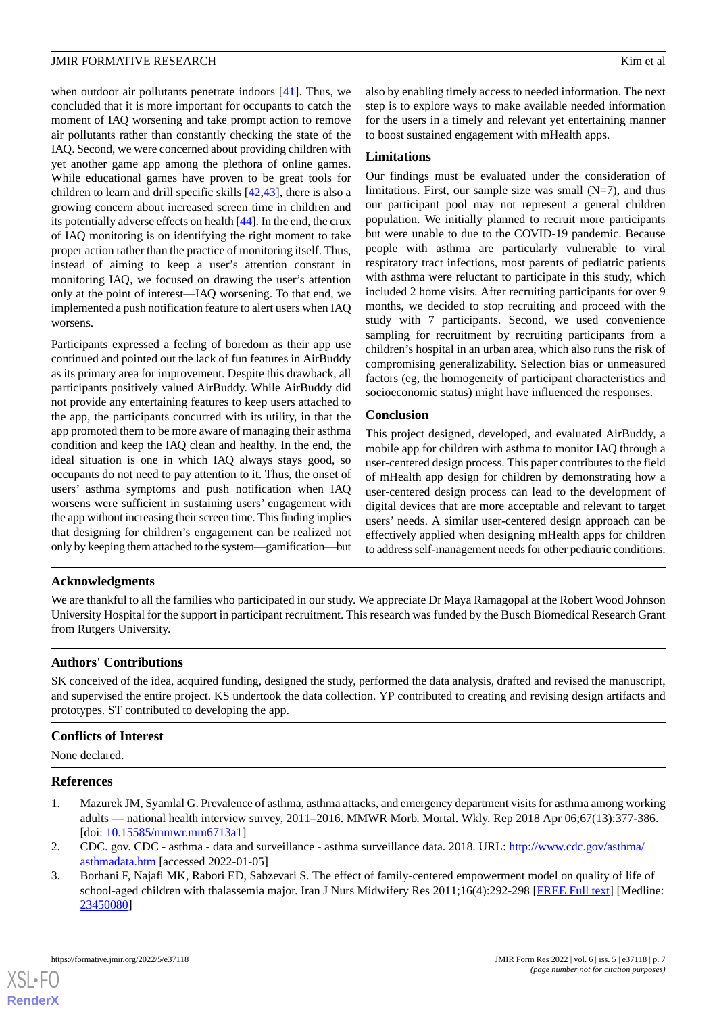when outdoor air pollutants penetrate indoors [\[41](#page-8-11)]. Thus, we concluded that it is more important for occupants to catch the moment of IAQ worsening and take prompt action to remove air pollutants rather than constantly checking the state of the IAQ. Second, we were concerned about providing children with yet another game app among the plethora of online games. While educational games have proven to be great tools for children to learn and drill specific skills [\[42](#page-8-12),[43\]](#page-8-13), there is also a growing concern about increased screen time in children and its potentially adverse effects on health [\[44](#page-8-14)]. In the end, the crux of IAQ monitoring is on identifying the right moment to take proper action rather than the practice of monitoring itself. Thus, instead of aiming to keep a user's attention constant in monitoring IAQ, we focused on drawing the user's attention only at the point of interest—IAQ worsening. To that end, we implemented a push notification feature to alert users when IAQ worsens.

Participants expressed a feeling of boredom as their app use continued and pointed out the lack of fun features in AirBuddy as its primary area for improvement. Despite this drawback, all participants positively valued AirBuddy. While AirBuddy did not provide any entertaining features to keep users attached to the app, the participants concurred with its utility, in that the app promoted them to be more aware of managing their asthma condition and keep the IAQ clean and healthy. In the end, the ideal situation is one in which IAQ always stays good, so occupants do not need to pay attention to it. Thus, the onset of users' asthma symptoms and push notification when IAQ worsens were sufficient in sustaining users' engagement with the app without increasing their screen time. This finding implies that designing for children's engagement can be realized not only by keeping them attached to the system—gamification—but also by enabling timely access to needed information. The next step is to explore ways to make available needed information for the users in a timely and relevant yet entertaining manner to boost sustained engagement with mHealth apps.

#### **Limitations**

Our findings must be evaluated under the consideration of limitations. First, our sample size was small  $(N=7)$ , and thus our participant pool may not represent a general children population. We initially planned to recruit more participants but were unable to due to the COVID-19 pandemic. Because people with asthma are particularly vulnerable to viral respiratory tract infections, most parents of pediatric patients with asthma were reluctant to participate in this study, which included 2 home visits. After recruiting participants for over 9 months, we decided to stop recruiting and proceed with the study with 7 participants. Second, we used convenience sampling for recruitment by recruiting participants from a children's hospital in an urban area, which also runs the risk of compromising generalizability. Selection bias or unmeasured factors (eg, the homogeneity of participant characteristics and socioeconomic status) might have influenced the responses.

#### **Conclusion**

This project designed, developed, and evaluated AirBuddy, a mobile app for children with asthma to monitor IAQ through a user-centered design process. This paper contributes to the field of mHealth app design for children by demonstrating how a user-centered design process can lead to the development of digital devices that are more acceptable and relevant to target users' needs. A similar user-centered design approach can be effectively applied when designing mHealth apps for children to address self-management needs for other pediatric conditions.

# **Acknowledgments**

We are thankful to all the families who participated in our study. We appreciate Dr Maya Ramagopal at the Robert Wood Johnson University Hospital for the support in participant recruitment. This research was funded by the Busch Biomedical Research Grant from Rutgers University.

#### **Authors' Contributions**

SK conceived of the idea, acquired funding, designed the study, performed the data analysis, drafted and revised the manuscript, and supervised the entire project. KS undertook the data collection. YP contributed to creating and revising design artifacts and prototypes. ST contributed to developing the app.

#### <span id="page-6-0"></span>**Conflicts of Interest**

<span id="page-6-1"></span>None declared.

#### <span id="page-6-2"></span>**References**

- 1. Mazurek JM, Syamlal G. Prevalence of asthma, asthma attacks, and emergency department visits for asthma among working adults — national health interview survey, 2011–2016. MMWR Morb. Mortal. Wkly. Rep 2018 Apr 06;67(13):377-386. [doi: [10.15585/mmwr.mm6713a1](http://dx.doi.org/10.15585/mmwr.mm6713a1)]
- 2. CDC. gov. CDC asthma data and surveillance asthma surveillance data. 2018. URL: [http://www.cdc.gov/asthma/](http://www.cdc.gov/asthma/asthmadata.htm) [asthmadata.htm](http://www.cdc.gov/asthma/asthmadata.htm) [accessed 2022-01-05]
- 3. Borhani F, Najafi MK, Rabori ED, Sabzevari S. The effect of family-centered empowerment model on quality of life of school-aged children with thalassemia major. Iran J Nurs Midwifery Res 2011;16(4):292-298 [[FREE Full text](http://europepmc.org/abstract/MED/23450080)] [Medline: [23450080](http://www.ncbi.nlm.nih.gov/entrez/query.fcgi?cmd=Retrieve&db=PubMed&list_uids=23450080&dopt=Abstract)]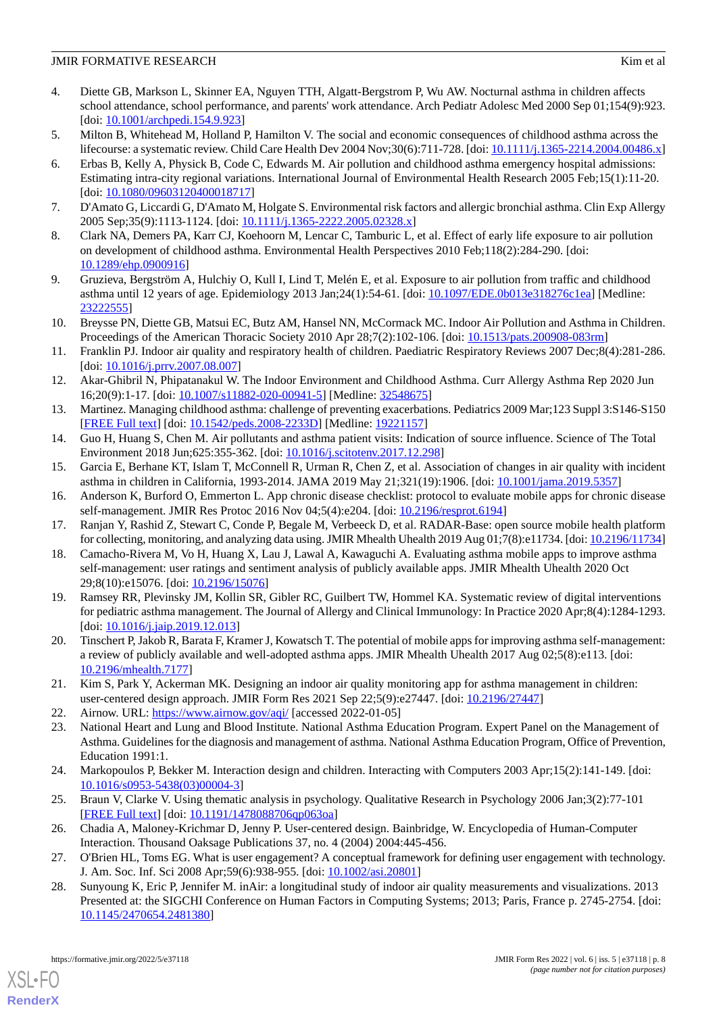- 4. Diette GB, Markson L, Skinner EA, Nguyen TTH, Algatt-Bergstrom P, Wu AW. Nocturnal asthma in children affects school attendance, school performance, and parents' work attendance. Arch Pediatr Adolesc Med 2000 Sep 01;154(9):923. [doi: [10.1001/archpedi.154.9.923](http://dx.doi.org/10.1001/archpedi.154.9.923)]
- <span id="page-7-0"></span>5. Milton B, Whitehead M, Holland P, Hamilton V. The social and economic consequences of childhood asthma across the lifecourse: a systematic review. Child Care Health Dev 2004 Nov;30(6):711-728. [doi: [10.1111/j.1365-2214.2004.00486.x](http://dx.doi.org/10.1111/j.1365-2214.2004.00486.x)]
- 6. Erbas B, Kelly A, Physick B, Code C, Edwards M. Air pollution and childhood asthma emergency hospital admissions: Estimating intra-city regional variations. International Journal of Environmental Health Research 2005 Feb;15(1):11-20. [doi: [10.1080/09603120400018717](http://dx.doi.org/10.1080/09603120400018717)]
- <span id="page-7-1"></span>7. D'Amato G, Liccardi G, D'Amato M, Holgate S. Environmental risk factors and allergic bronchial asthma. Clin Exp Allergy 2005 Sep;35(9):1113-1124. [doi: [10.1111/j.1365-2222.2005.02328.x](http://dx.doi.org/10.1111/j.1365-2222.2005.02328.x)]
- 8. Clark NA, Demers PA, Karr CJ, Koehoorn M, Lencar C, Tamburic L, et al. Effect of early life exposure to air pollution on development of childhood asthma. Environmental Health Perspectives 2010 Feb;118(2):284-290. [doi: [10.1289/ehp.0900916\]](http://dx.doi.org/10.1289/ehp.0900916)
- <span id="page-7-2"></span>9. Gruzieva, Bergström A, Hulchiy O, Kull I, Lind T, Melén E, et al. Exposure to air pollution from traffic and childhood asthma until 12 years of age. Epidemiology 2013 Jan;24(1):54-61. [doi: [10.1097/EDE.0b013e318276c1ea\]](http://dx.doi.org/10.1097/EDE.0b013e318276c1ea) [Medline: [23222555](http://www.ncbi.nlm.nih.gov/entrez/query.fcgi?cmd=Retrieve&db=PubMed&list_uids=23222555&dopt=Abstract)]
- <span id="page-7-3"></span>10. Breysse PN, Diette GB, Matsui EC, Butz AM, Hansel NN, McCormack MC. Indoor Air Pollution and Asthma in Children. Proceedings of the American Thoracic Society 2010 Apr 28;7(2):102-106. [doi: [10.1513/pats.200908-083rm\]](http://dx.doi.org/10.1513/pats.200908-083rm)
- <span id="page-7-4"></span>11. Franklin PJ. Indoor air quality and respiratory health of children. Paediatric Respiratory Reviews 2007 Dec;8(4):281-286. [doi: [10.1016/j.prrv.2007.08.007\]](http://dx.doi.org/10.1016/j.prrv.2007.08.007)
- <span id="page-7-5"></span>12. Akar-Ghibril N, Phipatanakul W. The Indoor Environment and Childhood Asthma. Curr Allergy Asthma Rep 2020 Jun 16;20(9):1-17. [doi: [10.1007/s11882-020-00941-5\]](http://dx.doi.org/10.1007/s11882-020-00941-5) [Medline: [32548675](http://www.ncbi.nlm.nih.gov/entrez/query.fcgi?cmd=Retrieve&db=PubMed&list_uids=32548675&dopt=Abstract)]
- <span id="page-7-6"></span>13. Martinez. Managing childhood asthma: challenge of preventing exacerbations. Pediatrics 2009 Mar;123 Suppl 3:S146-S150 [[FREE Full text](http://europepmc.org/abstract/MED/19221157)] [doi: [10.1542/peds.2008-2233D](http://dx.doi.org/10.1542/peds.2008-2233D)] [Medline: [19221157\]](http://www.ncbi.nlm.nih.gov/entrez/query.fcgi?cmd=Retrieve&db=PubMed&list_uids=19221157&dopt=Abstract)
- <span id="page-7-7"></span>14. Guo H, Huang S, Chen M. Air pollutants and asthma patient visits: Indication of source influence. Science of The Total Environment 2018 Jun;625:355-362. [doi: [10.1016/j.scitotenv.2017.12.298\]](http://dx.doi.org/10.1016/j.scitotenv.2017.12.298)
- <span id="page-7-8"></span>15. Garcia E, Berhane KT, Islam T, McConnell R, Urman R, Chen Z, et al. Association of changes in air quality with incident asthma in children in California, 1993-2014. JAMA 2019 May 21;321(19):1906. [doi: [10.1001/jama.2019.5357\]](http://dx.doi.org/10.1001/jama.2019.5357)
- 16. Anderson K, Burford O, Emmerton L. App chronic disease checklist: protocol to evaluate mobile apps for chronic disease self-management. JMIR Res Protoc 2016 Nov 04;5(4):e204. [doi: [10.2196/resprot.6194\]](http://dx.doi.org/10.2196/resprot.6194)
- 17. Ranjan Y, Rashid Z, Stewart C, Conde P, Begale M, Verbeeck D, et al. RADAR-Base: open source mobile health platform for collecting, monitoring, and analyzing data using. JMIR Mhealth Uhealth 2019 Aug 01;7(8):e11734. [doi: [10.2196/11734](http://dx.doi.org/10.2196/11734)]
- 18. Camacho-Rivera M, Vo H, Huang X, Lau J, Lawal A, Kawaguchi A. Evaluating asthma mobile apps to improve asthma self-management: user ratings and sentiment analysis of publicly available apps. JMIR Mhealth Uhealth 2020 Oct 29;8(10):e15076. [doi: [10.2196/15076\]](http://dx.doi.org/10.2196/15076)
- <span id="page-7-10"></span><span id="page-7-9"></span>19. Ramsey RR, Plevinsky JM, Kollin SR, Gibler RC, Guilbert TW, Hommel KA. Systematic review of digital interventions for pediatric asthma management. The Journal of Allergy and Clinical Immunology: In Practice 2020 Apr;8(4):1284-1293. [doi: 10.1016/*j.jaip.2019.12.013*]
- <span id="page-7-12"></span><span id="page-7-11"></span>20. Tinschert P, Jakob R, Barata F, Kramer J, Kowatsch T. The potential of mobile apps for improving asthma self-management: a review of publicly available and well-adopted asthma apps. JMIR Mhealth Uhealth 2017 Aug 02;5(8):e113. [doi: [10.2196/mhealth.7177](http://dx.doi.org/10.2196/mhealth.7177)]
- <span id="page-7-13"></span>21. Kim S, Park Y, Ackerman MK. Designing an indoor air quality monitoring app for asthma management in children: user-centered design approach. JMIR Form Res 2021 Sep 22;5(9):e27447. [doi: [10.2196/27447](http://dx.doi.org/10.2196/27447)]
- 22. Airnow. URL:<https://www.airnow.gov/aqi/> [accessed 2022-01-05]
- <span id="page-7-15"></span><span id="page-7-14"></span>23. National Heart and Lung and Blood Institute. National Asthma Education Program. Expert Panel on the Management of Asthma. Guidelines for the diagnosis and management of asthma. National Asthma Education Program, Office of Prevention, Education 1991:1.
- <span id="page-7-16"></span>24. Markopoulos P, Bekker M. Interaction design and children. Interacting with Computers 2003 Apr;15(2):141-149. [doi: [10.1016/s0953-5438\(03\)00004-3](http://dx.doi.org/10.1016/s0953-5438(03)00004-3)]
- <span id="page-7-17"></span>25. Braun V, Clarke V. Using thematic analysis in psychology. Qualitative Research in Psychology 2006 Jan;3(2):77-101 [[FREE Full text](https://doi.org/10.1191/1478088706qp063oa)] [doi: [10.1191/1478088706qp063oa](http://dx.doi.org/10.1191/1478088706qp063oa)]
- 26. Chadia A, Maloney-Krichmar D, Jenny P. User-centered design. Bainbridge, W. Encyclopedia of Human-Computer Interaction. Thousand Oaksage Publications 37, no. 4 (2004) 2004:445-456.
- 27. O'Brien HL, Toms EG. What is user engagement? A conceptual framework for defining user engagement with technology. J. Am. Soc. Inf. Sci 2008 Apr;59(6):938-955. [doi: [10.1002/asi.20801](http://dx.doi.org/10.1002/asi.20801)]
- 28. Sunyoung K, Eric P, Jennifer M. inAir: a longitudinal study of indoor air quality measurements and visualizations. 2013 Presented at: the SIGCHI Conference on Human Factors in Computing Systems; 2013; Paris, France p. 2745-2754. [doi: [10.1145/2470654.2481380](http://dx.doi.org/10.1145/2470654.2481380)]

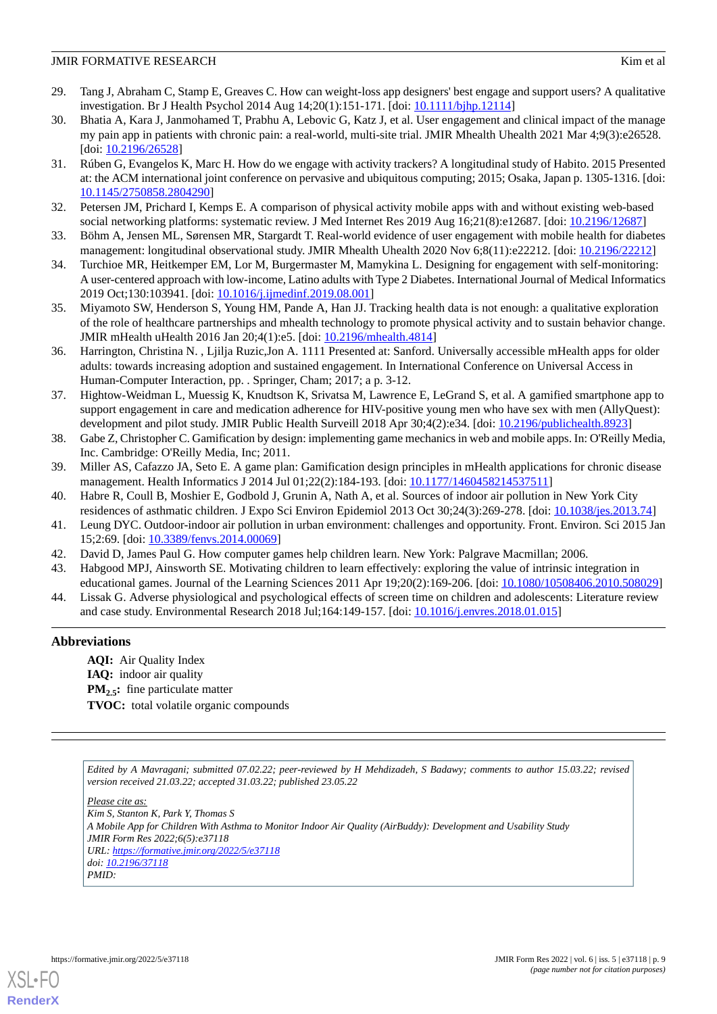- <span id="page-8-0"></span>29. Tang J, Abraham C, Stamp E, Greaves C. How can weight-loss app designers' best engage and support users? A qualitative investigation. Br J Health Psychol 2014 Aug 14;20(1):151-171. [doi: [10.1111/bjhp.12114](http://dx.doi.org/10.1111/bjhp.12114)]
- 30. Bhatia A, Kara J, Janmohamed T, Prabhu A, Lebovic G, Katz J, et al. User engagement and clinical impact of the manage my pain app in patients with chronic pain: a real-world, multi-site trial. JMIR Mhealth Uhealth 2021 Mar 4;9(3):e26528. [doi: [10.2196/26528](http://dx.doi.org/10.2196/26528)]
- <span id="page-8-1"></span>31. Rúben G, Evangelos K, Marc H. How do we engage with activity trackers? A longitudinal study of Habito. 2015 Presented at: the ACM international joint conference on pervasive and ubiquitous computing; 2015; Osaka, Japan p. 1305-1316. [doi: [10.1145/2750858.2804290](http://dx.doi.org/10.1145/2750858.2804290)]
- <span id="page-8-3"></span><span id="page-8-2"></span>32. Petersen JM, Prichard I, Kemps E. A comparison of physical activity mobile apps with and without existing web-based social networking platforms: systematic review. J Med Internet Res 2019 Aug 16;21(8):e12687. [doi: [10.2196/12687\]](http://dx.doi.org/10.2196/12687)
- <span id="page-8-4"></span>33. Böhm A, Jensen ML, Sørensen MR, Stargardt T. Real-world evidence of user engagement with mobile health for diabetes management: longitudinal observational study. JMIR Mhealth Uhealth 2020 Nov 6;8(11):e22212. [doi: [10.2196/22212\]](http://dx.doi.org/10.2196/22212)
- <span id="page-8-5"></span>34. Turchioe MR, Heitkemper EM, Lor M, Burgermaster M, Mamykina L. Designing for engagement with self-monitoring: A user-centered approach with low-income, Latino adults with Type 2 Diabetes. International Journal of Medical Informatics 2019 Oct;130:103941. [doi: [10.1016/j.ijmedinf.2019.08.001](http://dx.doi.org/10.1016/j.ijmedinf.2019.08.001)]
- <span id="page-8-6"></span>35. Miyamoto SW, Henderson S, Young HM, Pande A, Han JJ. Tracking health data is not enough: a qualitative exploration of the role of healthcare partnerships and mhealth technology to promote physical activity and to sustain behavior change. JMIR mHealth uHealth 2016 Jan 20;4(1):e5. [doi: [10.2196/mhealth.4814](http://dx.doi.org/10.2196/mhealth.4814)]
- <span id="page-8-7"></span>36. Harrington, Christina N. , Ljilja Ruzic,Jon A. 1111 Presented at: Sanford. Universally accessible mHealth apps for older adults: towards increasing adoption and sustained engagement. In International Conference on Universal Access in Human-Computer Interaction, pp. . Springer, Cham; 2017; a p. 3-12.
- <span id="page-8-8"></span>37. Hightow-Weidman L, Muessig K, Knudtson K, Srivatsa M, Lawrence E, LeGrand S, et al. A gamified smartphone app to support engagement in care and medication adherence for HIV-positive young men who have sex with men (AllyQuest): development and pilot study. JMIR Public Health Surveill 2018 Apr 30;4(2):e34. [doi: [10.2196/publichealth.8923](http://dx.doi.org/10.2196/publichealth.8923)]
- <span id="page-8-10"></span><span id="page-8-9"></span>38. Gabe Z, Christopher C. Gamification by design: implementing game mechanics in web and mobile apps. In: O'Reilly Media, Inc. Cambridge: O'Reilly Media, Inc; 2011.
- <span id="page-8-11"></span>39. Miller AS, Cafazzo JA, Seto E. A game plan: Gamification design principles in mHealth applications for chronic disease management. Health Informatics J 2014 Jul 01;22(2):184-193. [doi: [10.1177/1460458214537511\]](http://dx.doi.org/10.1177/1460458214537511)
- <span id="page-8-12"></span>40. Habre R, Coull B, Moshier E, Godbold J, Grunin A, Nath A, et al. Sources of indoor air pollution in New York City residences of asthmatic children. J Expo Sci Environ Epidemiol 2013 Oct 30;24(3):269-278. [doi: [10.1038/jes.2013.74\]](http://dx.doi.org/10.1038/jes.2013.74)
- <span id="page-8-14"></span><span id="page-8-13"></span>41. Leung DYC. Outdoor-indoor air pollution in urban environment: challenges and opportunity. Front. Environ. Sci 2015 Jan 15;2:69. [doi: [10.3389/fenvs.2014.00069](http://dx.doi.org/10.3389/fenvs.2014.00069)]
- 42. David D, James Paul G. How computer games help children learn. New York: Palgrave Macmillan; 2006.
- 43. Habgood MPJ, Ainsworth SE. Motivating children to learn effectively: exploring the value of intrinsic integration in educational games. Journal of the Learning Sciences 2011 Apr 19;20(2):169-206. [doi: [10.1080/10508406.2010.508029\]](http://dx.doi.org/10.1080/10508406.2010.508029)
- 44. Lissak G. Adverse physiological and psychological effects of screen time on children and adolescents: Literature review and case study. Environmental Research 2018 Jul;164:149-157. [doi: [10.1016/j.envres.2018.01.015](http://dx.doi.org/10.1016/j.envres.2018.01.015)]

# **Abbreviations**

**AQI:** Air Quality Index **IAQ:** indoor air quality **PM**<sub>2.5</sub>**:** fine particulate matter **TVOC:** total volatile organic compounds

*Edited by A Mavragani; submitted 07.02.22; peer-reviewed by H Mehdizadeh, S Badawy; comments to author 15.03.22; revised version received 21.03.22; accepted 31.03.22; published 23.05.22*

*Please cite as: Kim S, Stanton K, Park Y, Thomas S A Mobile App for Children With Asthma to Monitor Indoor Air Quality (AirBuddy): Development and Usability Study JMIR Form Res 2022;6(5):e37118 URL: <https://formative.jmir.org/2022/5/e37118> doi: [10.2196/37118](http://dx.doi.org/10.2196/37118) PMID:*